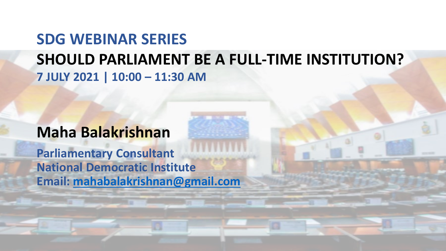# **SDG WEBINAR SERIES SHOULD PARLIAMENT BE A FULL-TIME INSTITUTION? 7 JULY 2021 | 10:00 – 11:30 AM**

# **Maha Balakrishnan**

**Parliamentary Consultant National Democratic Institute Email: [mahabalakrishnan@gmail.com](mailto:mahabalakrishnan@gmail.com)**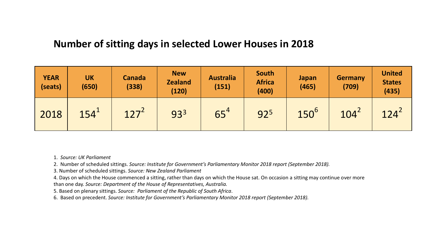#### **Number of sitting days in selected Lower Houses in 2018**

| <b>YEAR</b><br>(seats) | <b>UK</b><br>(650) | <b>Canada</b><br>(338) | <b>New</b><br><b>Zealand</b><br>(120) | <b>Australia</b><br>(151) | South<br><b>Africa</b><br>(400) | Japan<br>(465) | <b>Germany</b><br>(709) | <b>United</b><br><b>States</b><br>(435) |
|------------------------|--------------------|------------------------|---------------------------------------|---------------------------|---------------------------------|----------------|-------------------------|-----------------------------------------|
| 2018                   | 154 <sup>1</sup>   | $127^2$                | 933                                   | 65 <sup>4</sup>           | 925                             | $150^6$        | 104 <sup>2</sup>        | 124 <sup>2</sup>                        |

1. *Source: UK Parliament* 

2. Number of scheduled sittings. *Source: Institute for Government's Parliamentary Monitor 2018 report (September 2018).*

3. Number of scheduled sittings. *Source: New Zealand Parliament*

4. Days on which the House commenced a sitting, rather than days on which the House sat. On occasion a sitting may continue over more than one day. *Source: Department of the House of Representatives, Australia.* 

5. Based on plenary sittings. *Source: Parliament of the Republic of South Africa*.

6. Based on precedent. *Source: Institute for Government's Parliamentary Monitor 2018 report (September 2018).*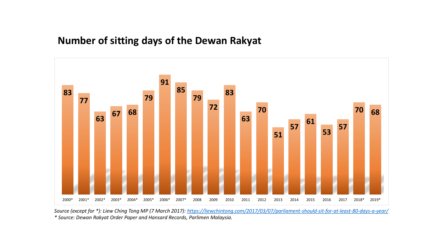#### **Number of sitting days of the Dewan Rakyat**



*Source (except for \*): Liew Ching Tong MP (7 March 2017): <https://liewchintong.com/2017/03/07/parliament-should-sit-for-at-least-80-days-a-year/> \* Source: Dewan Rakyat Order Paper and Hansard Records, Parlimen Malaysia.*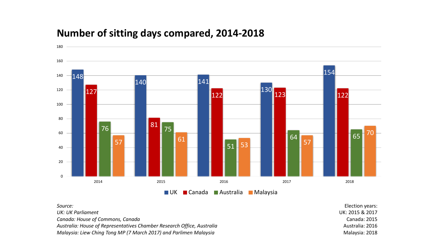

### **Number of sitting days compared, 2014-2018**

*Source:* 

*UK: UK Parliament*

*Canada: House of Commons, Canada*

*Australia: House of Representatives Chamber Research Office, Australia* 

*Malaysia: Liew Ching Tong MP (7 March 2017) and Parlimen Malaysia*

Election years: UK: 2015 & 2017 Canada: 2015 Australia: 2016 Malaysia: 2018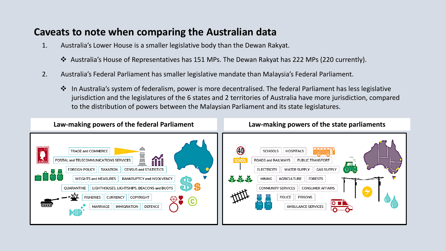#### **Caveats to note when comparing the Australian data**

- 1. Australia's Lower House is a smaller legislative body than the Dewan Rakyat.
	- ❖ Australia's House of Representatives has 151 MPs. The Dewan Rakyat has 222 MPs (220 currently).
- 2. Australia's Federal Parliament has smaller legislative mandate than Malaysia's Federal Parliament.
	- ❖ In Australia's system of federalism, power is more decentralised. The federal Parliament has less legislative jurisdiction and the legislatures of the 6 states and 2 territories of Australia have more jurisdiction, compared to the distribution of powers between the Malaysian Parliament and its state legislatures.

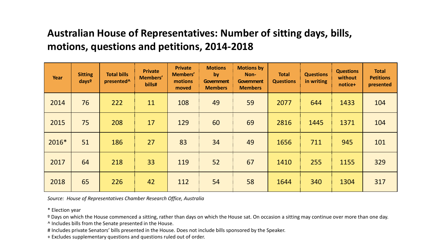## **Australian House of Representatives: Number of sitting days, bills, motions, questions and petitions, 2014-2018**

| Year  | <b>Sitting</b><br>days <sup>o</sup> | <b>Total bills</b><br>presented <sup>^</sup> | <b>Private</b><br>Members'<br>bills# | <b>Private</b><br>Members'<br>motions<br>moved | <b>Motions</b><br>by/<br>Government<br><b>Members</b> | <b>Motions by</b><br>Non-<br>Government<br><b>Members</b> | <b>Total</b><br><b>Questions</b> | <b>Questions</b><br>in writing | <b>Questions</b><br>without<br>notice+ | <b>Total</b><br><b>Petitions</b><br>presented |
|-------|-------------------------------------|----------------------------------------------|--------------------------------------|------------------------------------------------|-------------------------------------------------------|-----------------------------------------------------------|----------------------------------|--------------------------------|----------------------------------------|-----------------------------------------------|
| 2014  | 76                                  | 222                                          | 11                                   | 108                                            | 49                                                    | 59                                                        | 2077                             | 644                            | 1433                                   | 104                                           |
| 2015  | 75                                  | 208                                          | 17                                   | 129                                            | 60                                                    | 69                                                        | 2816                             | 1445                           | 1371                                   | 104                                           |
| 2016* | 51                                  | 186                                          | 27                                   | 83                                             | 34                                                    | 49                                                        | 1656                             | 711                            | 945                                    | 101                                           |
| 2017  | 64                                  | 218                                          | 33                                   | 119                                            | 52                                                    | 67                                                        | 1410                             | 255                            | 1155                                   | 329                                           |
| 2018  | 65                                  | 226                                          | 42                                   | 112                                            | 54                                                    | 58                                                        | 1644                             | 340                            | 1304                                   | 317                                           |

*Source: House of Representatives Chamber Research Office, Australia* 

\* Election year

<sup>o</sup> Days on which the House commenced a sitting, rather than days on which the House sat. On occasion a sitting may continue over more than one day.

^ Includes bills from the Senate presented in the House.

# Includes private Senators' bills presented in the House. Does not include bills sponsored by the Speaker.

+ Excludes supplementary questions and questions ruled out of order.